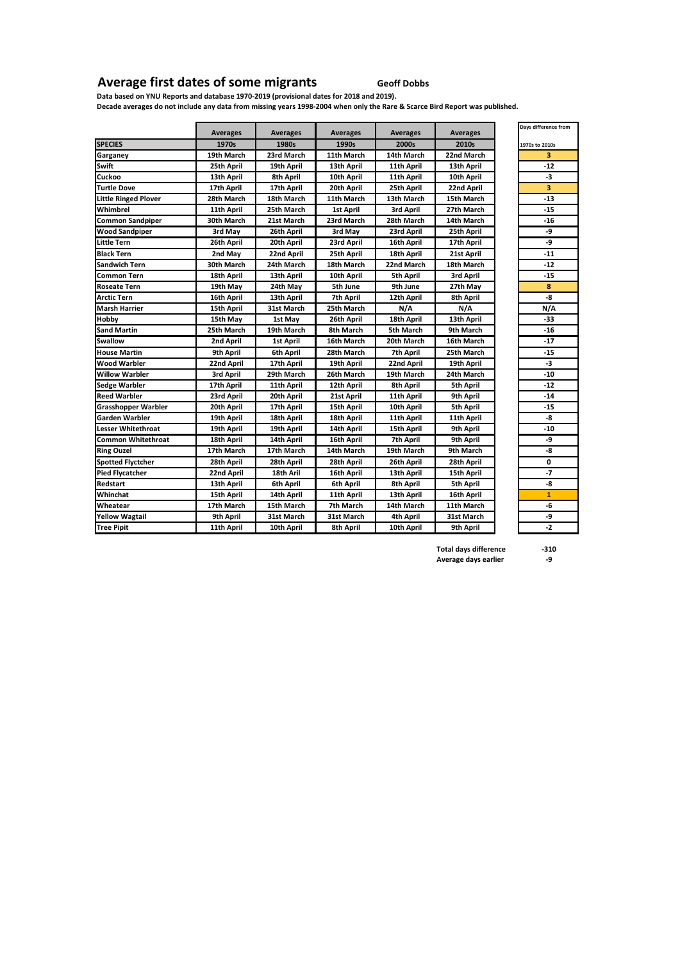## **Average first dates of some migrants Geoff Dobbs**

**Data based on YNU Reports and database 1970-2019 (provisional dates for 2018 and 2019). Decade averages do not include any data from missing years 1998-2004 when only the Rare & Scarce Bird Report was published.**

|                             |                 |                  |                 |                 |                 | Days difference from |
|-----------------------------|-----------------|------------------|-----------------|-----------------|-----------------|----------------------|
|                             | <b>Averages</b> | <b>Averages</b>  | <b>Averages</b> | <b>Averages</b> | <b>Averages</b> |                      |
| <b>SPECIES</b>              | 1970s           | 1980s            | 1990s           | 2000s           | 2010s           | 1970s to 2010s       |
| Garganey                    | 19th March      | 23rd March       | 11th March      | 14th March      | 22nd March      | 3                    |
| <b>Swift</b>                | 25th April      | 19th April       | 13th April      | 11th April      | 13th April      | $-12$                |
| Cuckoo                      | 13th April      | 8th April        | 10th April      | 11th April      | 10th April      | -3                   |
| <b>Turtle Dove</b>          | 17th April      | 17th April       | 20th April      | 25th April      | 22nd April      | 3                    |
| <b>Little Ringed Plover</b> | 28th March      | 18th March       | 11th March      | 13th March      | 15th March      | $-13$                |
| Whimbrel                    | 11th April      | 25th March       | 1st April       | 3rd April       | 27th March      | $-15$                |
| <b>Common Sandpiper</b>     | 30th March      | 21st March       | 23rd March      | 28th March      | 14th March      | -16                  |
| <b>Wood Sandpiper</b>       | 3rd May         | 26th April       | 3rd May         | 23rd April      | 25th April      | -9                   |
| <b>Little Tern</b>          | 26th April      | 20th April       | 23rd April      | 16th April      | 17th April      | -9                   |
| <b>Black Tern</b>           | 2nd May         | 22nd April       | 25th April      | 18th April      | 21st April      | $-11$                |
| Sandwich Tern               | 30th March      | 24th March       | 18th March      | 22nd March      | 18th March      | $-12$                |
| <b>Common Tern</b>          | 18th April      | 13th April       | 10th April      | 5th April       | 3rd April       | $-15$                |
| <b>Roseate Tern</b>         | 19th May        | 24th May         | 5th June        | 9th June        | 27th May        | 8                    |
| <b>Arctic Tern</b>          | 16th April      | 13th April       | 7th April       | 12th April      | 8th April       | -8                   |
| <b>Marsh Harrier</b>        | 15th April      | 31st March       | 25th March      | N/A             | N/A             | N/A                  |
| Hobby                       | 15th May        | 1st May          | 26th April      | 18th April      | 13th April      | -33                  |
| <b>Sand Martin</b>          | 25th March      | 19th March       | 8th March       | 5th March       | 9th March       | $-16$                |
| <b>Swallow</b>              | 2nd April       | <b>1st April</b> | 16th March      | 20th March      | 16th March      | -17                  |
| <b>House Martin</b>         | 9th April       | 6th April        | 28th March      | 7th April       | 25th March      | $-15$                |
| <b>Wood Warbler</b>         | 22nd April      | 17th April       | 19th April      | 22nd April      | 19th April      | -3                   |
| <b>Willow Warbler</b>       | 3rd April       | 29th March       | 26th March      | 19th March      | 24th March      | $-10$                |
| <b>Sedge Warbler</b>        | 17th April      | 11th April       | 12th April      | 8th April       | 5th April       | $-12$                |
| <b>Reed Warbler</b>         | 23rd April      | 20th April       | 21st April      | 11th April      | 9th April       | $-14$                |
| <b>Grasshopper Warbler</b>  | 20th April      | 17th April       | 15th April      | 10th April      | 5th April       | $-15$                |
| Garden Warbler              | 19th April      | 18th April       | 18th April      | 11th April      | 11th April      | -8                   |
| <b>Lesser Whitethroat</b>   | 19th April      | 19th April       | 14th April      | 15th April      | 9th April       | $-10$                |
| <b>Common Whitethroat</b>   | 18th April      | 14th April       | 16th April      | 7th April       | 9th April       | -9                   |
| <b>Ring Ouzel</b>           | 17th March      | 17th March       | 14th March      | 19th March      | 9th March       | -8                   |
| <b>Spotted Flyctcher</b>    | 28th April      | 28th April       | 28th April      | 26th April      | 28th April      | 0                    |
| <b>Pied Flycatcher</b>      | 22nd April      | 18th Aril        | 16th April      | 13th April      | 15th April      | $-7$                 |
| Redstart                    | 13th April      | 6th April        | 6th April       | 8th April       | 5th April       | -8                   |
| Whinchat                    | 15th April      | 14th April       | 11th April      | 13th April      | 16th April      | $\mathbf{1}$         |
| Wheatear                    | 17th March      | 15th March       | 7th March       | 14th March      | 11th March      | -6                   |
| <b>Yellow Wagtail</b>       | 9th April       | 31st March       | 31st March      | 4th April       | 31st March      | -9                   |
| <b>Tree Pipit</b>           | 11th April      | 10th April       | 8th April       | 10th April      | 9th April       | $-2$                 |

| 1970s to 2010s                 |
|--------------------------------|
| 3                              |
| $-12$                          |
| -3                             |
| 3                              |
| $-13$                          |
| $\overline{15}$                |
| $-16$                          |
| -9                             |
| -9                             |
| $-11$                          |
| $\frac{-12}{-15}$              |
|                                |
| 8                              |
| -8                             |
| N/A                            |
| $-33$                          |
| $-16$                          |
| $-17$                          |
| $-15$                          |
| $\overline{\cdot}$             |
| $-10$                          |
| $\overline{12}$                |
| 14                             |
| 15<br>$\overline{\phantom{a}}$ |
|                                |
| $\overline{10}$<br>-9          |
| -8                             |
| 0                              |
| -7                             |
| -8                             |
| $\mathbf{1}$                   |
| $-6$                           |
| -9                             |
| $\overline{\cdot}$             |
|                                |

**Total days difference -310**<br>Average days earlier **-9 Average days earlier -9**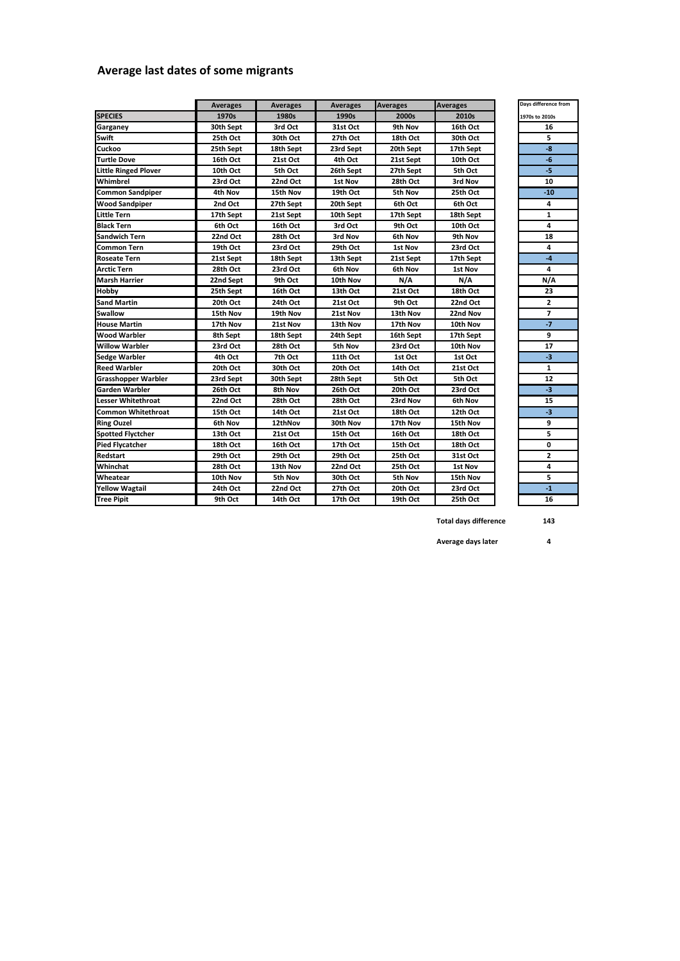## **Average last dates of some migrants**

|                             | <b>Averages</b> | <b>Averages</b> | <b>Averages</b> | <b>Averages</b> | <b>Averages</b> | Days difference fron |  |
|-----------------------------|-----------------|-----------------|-----------------|-----------------|-----------------|----------------------|--|
| <b>SPECIES</b>              | 1970s           | 1980s           | 1990s           | 2000s           | 2010s           | 1970s to 2010s       |  |
| Garganey                    | 30th Sept       | 3rd Oct         | 31st Oct        | 9th Nov         | 16th Oct        | 16                   |  |
| Swift                       | 25th Oct        | 30th Oct        | 27th Oct        | 18th Oct        | 30th Oct        | 5                    |  |
| Cuckoo                      | 25th Sept       | 18th Sept       | 23rd Sept       | 20th Sept       | 17th Sept       | $-8$                 |  |
| <b>Turtle Dove</b>          | 16th Oct        | 21st Oct        | 4th Oct         | 21st Sept       | 10th Oct        | $-6$                 |  |
| <b>Little Ringed Plover</b> | 10th Oct        | 5th Oct         | 26th Sept       | 27th Sept       | 5th Oct         | $-5$                 |  |
| Whimbrel                    | 23rd Oct        | 22nd Oct        | 1st Nov         | 28th Oct        | 3rd Nov         | 10                   |  |
| <b>Common Sandpiper</b>     | 4th Nov         | 15th Nov        | 19th Oct        | 5th Nov         | 25th Oct        | $-10$                |  |
| <b>Wood Sandpiper</b>       | 2nd Oct         | 27th Sept       | 20th Sept       | 6th Oct         | 6th Oct         | 4                    |  |
| <b>Little Tern</b>          | 17th Sept       | 21st Sept       | 10th Sept       | 17th Sept       | 18th Sept       | $\mathbf{1}$         |  |
| <b>Black Tern</b>           | 6th Oct         | 16th Oct        | 3rd Oct         | 9th Oct         | 10th Oct        | 4                    |  |
| <b>Sandwich Tern</b>        | 22nd Oct        | 28th Oct        | 3rd Nov         | 6th Nov         | 9th Nov         | 18                   |  |
| Common Tern                 | 19th Oct        | 23rd Oct        | 29th Oct        | 1st Nov         | 23rd Oct        | 4                    |  |
| <b>Roseate Tern</b>         | 21st Sept       | 18th Sept       | 13th Sept       | 21st Sept       | 17th Sept       | $-4$                 |  |
| <b>Arctic Tern</b>          | 28th Oct        | 23rd Oct        | 6th Nov         | 6th Nov         | 1st Nov         | 4                    |  |
| <b>Marsh Harrier</b>        | 22nd Sept       | 9th Oct         | 10th Nov        | N/A             | N/A             | N/A                  |  |
| Hobby                       | 25th Sept       | 16th Oct        | 13th Oct        | 21st Oct        | 18th Oct        | 23                   |  |
| <b>Sand Martin</b>          | 20th Oct        | 24th Oct        | 21st Oct        | 9th Oct         | 22nd Oct        | $\mathbf{2}$         |  |
| <b>Swallow</b>              | 15th Nov        | 19th Nov        | 21st Nov        | 13th Nov        | 22nd Nov        | $\overline{7}$       |  |
| <b>House Martin</b>         | 17th Nov        | 21st Nov        | 13th Nov        | 17th Nov        | 10th Nov        | $-7$                 |  |
| <b>Wood Warbler</b>         | 8th Sept        | 18th Sept       | 24th Sept       | 16th Sept       | 17th Sept       | 9                    |  |
| <b>Willow Warbler</b>       | 23rd Oct        | 28th Oct        | 5th Nov         | 23rd Oct        | 10th Nov        | 17                   |  |
| <b>Sedge Warbler</b>        | 4th Oct         | 7th Oct         | 11th Oct        | 1st Oct         | 1st Oct         | -3                   |  |
| <b>Reed Warbler</b>         | 20th Oct        | 30th Oct        | 20th Oct        | 14th Oct        | 21st Oct        | $\mathbf{1}$         |  |
| Grasshopper Warbler         | 23rd Sept       | 30th Sept       | 28th Sept       | 5th Oct         | 5th Oct         | 12                   |  |
| Garden Warbler              | 26th Oct        | 8th Nov         | 26th Oct        | 20th Oct        | 23rd Oct        | $-3$                 |  |
| <b>Lesser Whitethroat</b>   | 22nd Oct        | 28th Oct        | 28th Oct        | 23rd Nov        | 6th Nov         | 15                   |  |
| <b>Common Whitethroat</b>   | 15th Oct        | 14th Oct        | 21st Oct        | 18th Oct        | 12th Oct        | -3                   |  |
| <b>Ring Ouzel</b>           | 6th Nov         | 12thNov         | 30th Nov        | 17th Nov        | 15th Nov        | 9                    |  |
| <b>Spotted Flyctcher</b>    | 13th Oct        | 21st Oct        | 15th Oct        | 16th Oct        | 18th Oct        | 5                    |  |
| <b>Pied Flycatcher</b>      | 18th Oct        | 16th Oct        | 17th Oct        | 15th Oct        | 18th Oct        | 0                    |  |
| Redstart                    | 29th Oct        | 29th Oct        | 29th Oct        | 25th Oct        | 31st Oct        | $\overline{2}$       |  |
| Whinchat                    | 28th Oct        | 13th Nov        | 22nd Oct        | 25th Oct        | 1st Nov         | 4                    |  |
| Wheatear                    | 10th Nov        | 5th Nov         | 30th Oct        | 5th Nov         | 15th Nov        | 5                    |  |
| <b>Yellow Wagtail</b>       | 24th Oct        | 22nd Oct        | 27th Oct        | 20th Oct        | 23rd Oct        | $-1$                 |  |
| <b>Tree Pipit</b>           | 9th Oct         | 14th Oct        | 17th Oct        | 19th Oct        | 25th Oct        | 16                   |  |

**19**<br>16

**Total days difference 143**

**Average days later 4**